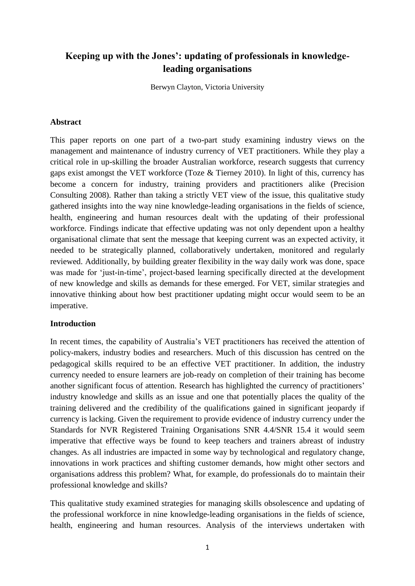# **Keeping up with the Jones': updating of professionals in knowledgeleading organisations**

Berwyn Clayton, Victoria University

#### **Abstract**

This paper reports on one part of a two-part study examining industry views on the management and maintenance of industry currency of VET practitioners. While they play a critical role in up-skilling the broader Australian workforce, research suggests that currency gaps exist amongst the VET workforce (Toze & Tierney 2010). In light of this, currency has become a concern for industry, training providers and practitioners alike (Precision Consulting 2008). Rather than taking a strictly VET view of the issue, this qualitative study gathered insights into the way nine knowledge-leading organisations in the fields of science, health, engineering and human resources dealt with the updating of their professional workforce. Findings indicate that effective updating was not only dependent upon a healthy organisational climate that sent the message that keeping current was an expected activity, it needed to be strategically planned, collaboratively undertaken, monitored and regularly reviewed. Additionally, by building greater flexibility in the way daily work was done, space was made for 'just-in-time', project-based learning specifically directed at the development of new knowledge and skills as demands for these emerged. For VET, similar strategies and innovative thinking about how best practitioner updating might occur would seem to be an imperative.

#### **Introduction**

In recent times, the capability of Australia's VET practitioners has received the attention of policy-makers, industry bodies and researchers. Much of this discussion has centred on the pedagogical skills required to be an effective VET practitioner. In addition, the industry currency needed to ensure learners are job-ready on completion of their training has become another significant focus of attention. Research has highlighted the currency of practitioners' industry knowledge and skills as an issue and one that potentially places the quality of the training delivered and the credibility of the qualifications gained in significant jeopardy if currency is lacking. Given the requirement to provide evidence of industry currency under the Standards for NVR Registered Training Organisations SNR 4.4/SNR 15.4 it would seem imperative that effective ways be found to keep teachers and trainers abreast of industry changes. As all industries are impacted in some way by technological and regulatory change, innovations in work practices and shifting customer demands, how might other sectors and organisations address this problem? What, for example, do professionals do to maintain their professional knowledge and skills?

This qualitative study examined strategies for managing skills obsolescence and updating of the professional workforce in nine knowledge-leading organisations in the fields of science, health, engineering and human resources. Analysis of the interviews undertaken with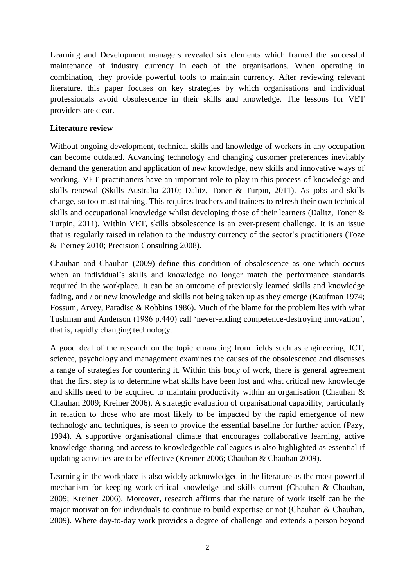Learning and Development managers revealed six elements which framed the successful maintenance of industry currency in each of the organisations. When operating in combination, they provide powerful tools to maintain currency. After reviewing relevant literature, this paper focuses on key strategies by which organisations and individual professionals avoid obsolescence in their skills and knowledge. The lessons for VET providers are clear.

### **Literature review**

Without ongoing development, technical skills and knowledge of workers in any occupation can become outdated. Advancing technology and changing customer preferences inevitably demand the generation and application of new knowledge, new skills and innovative ways of working. VET practitioners have an important role to play in this process of knowledge and skills renewal (Skills Australia 2010; Dalitz, Toner & Turpin, 2011). As jobs and skills change, so too must training. This requires teachers and trainers to refresh their own technical skills and occupational knowledge whilst developing those of their learners (Dalitz, Toner & Turpin, 2011). Within VET, skills obsolescence is an ever-present challenge. It is an issue that is regularly raised in relation to the industry currency of the sector's practitioners (Toze & Tierney 2010; Precision Consulting 2008).

Chauhan and Chauhan (2009) define this condition of obsolescence as one which occurs when an individual's skills and knowledge no longer match the performance standards required in the workplace. It can be an outcome of previously learned skills and knowledge fading, and / or new knowledge and skills not being taken up as they emerge (Kaufman 1974; Fossum, Arvey, Paradise & Robbins 1986). Much of the blame for the problem lies with what Tushman and Anderson (1986 p.440) call 'never-ending competence-destroying innovation', that is, rapidly changing technology.

A good deal of the research on the topic emanating from fields such as engineering, ICT, science, psychology and management examines the causes of the obsolescence and discusses a range of strategies for countering it. Within this body of work, there is general agreement that the first step is to determine what skills have been lost and what critical new knowledge and skills need to be acquired to maintain productivity within an organisation (Chauhan & Chauhan 2009; Kreiner 2006). A strategic evaluation of organisational capability, particularly in relation to those who are most likely to be impacted by the rapid emergence of new technology and techniques, is seen to provide the essential baseline for further action (Pazy, 1994). A supportive organisational climate that encourages collaborative learning, active knowledge sharing and access to knowledgeable colleagues is also highlighted as essential if updating activities are to be effective (Kreiner 2006; Chauhan & Chauhan 2009).

Learning in the workplace is also widely acknowledged in the literature as the most powerful mechanism for keeping work-critical knowledge and skills current (Chauhan & Chauhan, 2009; Kreiner 2006). Moreover, research affirms that the nature of work itself can be the major motivation for individuals to continue to build expertise or not (Chauhan & Chauhan, 2009). Where day-to-day work provides a degree of challenge and extends a person beyond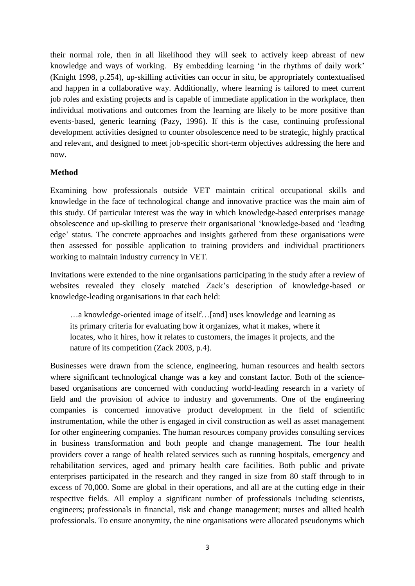their normal role, then in all likelihood they will seek to actively keep abreast of new knowledge and ways of working. By embedding learning 'in the rhythms of daily work' (Knight 1998, p.254), up-skilling activities can occur in situ, be appropriately contextualised and happen in a collaborative way. Additionally, where learning is tailored to meet current job roles and existing projects and is capable of immediate application in the workplace, then individual motivations and outcomes from the learning are likely to be more positive than events-based, generic learning (Pazy, 1996). If this is the case, continuing professional development activities designed to counter obsolescence need to be strategic, highly practical and relevant, and designed to meet job-specific short-term objectives addressing the here and now.

### **Method**

Examining how professionals outside VET maintain critical occupational skills and knowledge in the face of technological change and innovative practice was the main aim of this study. Of particular interest was the way in which knowledge-based enterprises manage obsolescence and up-skilling to preserve their organisational 'knowledge-based and 'leading edge' status. The concrete approaches and insights gathered from these organisations were then assessed for possible application to training providers and individual practitioners working to maintain industry currency in VET.

Invitations were extended to the nine organisations participating in the study after a review of websites revealed they closely matched Zack's description of knowledge-based or knowledge-leading organisations in that each held:

…a knowledge-oriented image of itself…[and] uses knowledge and learning as its primary criteria for evaluating how it organizes, what it makes, where it locates, who it hires, how it relates to customers, the images it projects, and the nature of its competition (Zack 2003, p.4).

Businesses were drawn from the science, engineering, human resources and health sectors where significant technological change was a key and constant factor. Both of the sciencebased organisations are concerned with conducting world-leading research in a variety of field and the provision of advice to industry and governments. One of the engineering companies is concerned innovative product development in the field of scientific instrumentation, while the other is engaged in civil construction as well as asset management for other engineering companies. The human resources company provides consulting services in business transformation and both people and change management. The four health providers cover a range of health related services such as running hospitals, emergency and rehabilitation services, aged and primary health care facilities. Both public and private enterprises participated in the research and they ranged in size from 80 staff through to in excess of 70,000. Some are global in their operations, and all are at the cutting edge in their respective fields. All employ a significant number of professionals including scientists, engineers; professionals in financial, risk and change management; nurses and allied health professionals. To ensure anonymity, the nine organisations were allocated pseudonyms which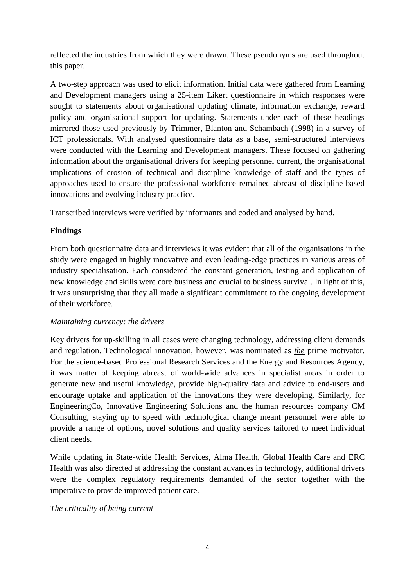reflected the industries from which they were drawn. These pseudonyms are used throughout this paper.

A two-step approach was used to elicit information. Initial data were gathered from Learning and Development managers using a 25-item Likert questionnaire in which responses were sought to statements about organisational updating climate, information exchange, reward policy and organisational support for updating. Statements under each of these headings mirrored those used previously by Trimmer, Blanton and Schambach (1998) in a survey of ICT professionals. With analysed questionnaire data as a base, semi-structured interviews were conducted with the Learning and Development managers. These focused on gathering information about the organisational drivers for keeping personnel current, the organisational implications of erosion of technical and discipline knowledge of staff and the types of approaches used to ensure the professional workforce remained abreast of discipline-based innovations and evolving industry practice.

Transcribed interviews were verified by informants and coded and analysed by hand.

# **Findings**

From both questionnaire data and interviews it was evident that all of the organisations in the study were engaged in highly innovative and even leading-edge practices in various areas of industry specialisation. Each considered the constant generation, testing and application of new knowledge and skills were core business and crucial to business survival. In light of this, it was unsurprising that they all made a significant commitment to the ongoing development of their workforce.

# *Maintaining currency: the drivers*

Key drivers for up-skilling in all cases were changing technology, addressing client demands and regulation. Technological innovation, however, was nominated as *the* prime motivator. For the science-based Professional Research Services and the Energy and Resources Agency, it was matter of keeping abreast of world-wide advances in specialist areas in order to generate new and useful knowledge, provide high-quality data and advice to end-users and encourage uptake and application of the innovations they were developing. Similarly, for EngineeringCo, Innovative Engineering Solutions and the human resources company CM Consulting, staying up to speed with technological change meant personnel were able to provide a range of options, novel solutions and quality services tailored to meet individual client needs.

While updating in State-wide Health Services, Alma Health, Global Health Care and ERC Health was also directed at addressing the constant advances in technology, additional drivers were the complex regulatory requirements demanded of the sector together with the imperative to provide improved patient care.

# *The criticality of being current*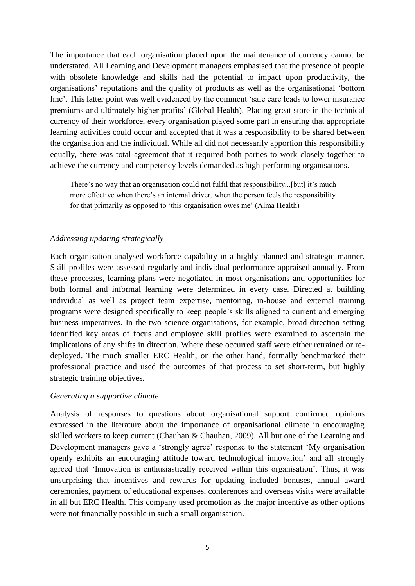The importance that each organisation placed upon the maintenance of currency cannot be understated. All Learning and Development managers emphasised that the presence of people with obsolete knowledge and skills had the potential to impact upon productivity, the organisations' reputations and the quality of products as well as the organisational 'bottom line'. This latter point was well evidenced by the comment 'safe care leads to lower insurance premiums and ultimately higher profits' (Global Health). Placing great store in the technical currency of their workforce, every organisation played some part in ensuring that appropriate learning activities could occur and accepted that it was a responsibility to be shared between the organisation and the individual. While all did not necessarily apportion this responsibility equally, there was total agreement that it required both parties to work closely together to achieve the currency and competency levels demanded as high-performing organisations.

There's no way that an organisation could not fulfil that responsibility...[but] it's much more effective when there's an internal driver, when the person feels the responsibility for that primarily as opposed to 'this organisation owes me' (Alma Health)

#### *Addressing updating strategically*

Each organisation analysed workforce capability in a highly planned and strategic manner. Skill profiles were assessed regularly and individual performance appraised annually. From these processes, learning plans were negotiated in most organisations and opportunities for both formal and informal learning were determined in every case. Directed at building individual as well as project team expertise, mentoring, in-house and external training programs were designed specifically to keep people's skills aligned to current and emerging business imperatives. In the two science organisations, for example, broad direction-setting identified key areas of focus and employee skill profiles were examined to ascertain the implications of any shifts in direction. Where these occurred staff were either retrained or redeployed. The much smaller ERC Health, on the other hand, formally benchmarked their professional practice and used the outcomes of that process to set short-term, but highly strategic training objectives.

#### *Generating a supportive climate*

Analysis of responses to questions about organisational support confirmed opinions expressed in the literature about the importance of organisational climate in encouraging skilled workers to keep current (Chauhan & Chauhan, 2009). All but one of the Learning and Development managers gave a 'strongly agree' response to the statement 'My organisation openly exhibits an encouraging attitude toward technological innovation' and all strongly agreed that 'Innovation is enthusiastically received within this organisation'. Thus, it was unsurprising that incentives and rewards for updating included bonuses, annual award ceremonies, payment of educational expenses, conferences and overseas visits were available in all but ERC Health. This company used promotion as the major incentive as other options were not financially possible in such a small organisation.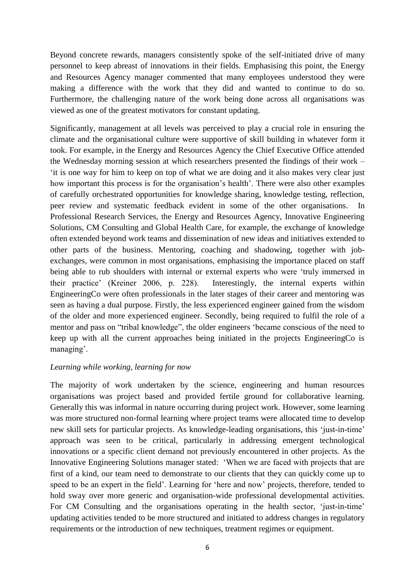Beyond concrete rewards, managers consistently spoke of the self-initiated drive of many personnel to keep abreast of innovations in their fields. Emphasising this point, the Energy and Resources Agency manager commented that many employees understood they were making a difference with the work that they did and wanted to continue to do so. Furthermore, the challenging nature of the work being done across all organisations was viewed as one of the greatest motivators for constant updating.

Significantly, management at all levels was perceived to play a crucial role in ensuring the climate and the organisational culture were supportive of skill building in whatever form it took. For example, in the Energy and Resources Agency the Chief Executive Office attended the Wednesday morning session at which researchers presented the findings of their work – 'it is one way for him to keep on top of what we are doing and it also makes very clear just how important this process is for the organisation's health'. There were also other examples of carefully orchestrated opportunities for knowledge sharing, knowledge testing, reflection, peer review and systematic feedback evident in some of the other organisations. In Professional Research Services, the Energy and Resources Agency, Innovative Engineering Solutions, CM Consulting and Global Health Care, for example, the exchange of knowledge often extended beyond work teams and dissemination of new ideas and initiatives extended to other parts of the business. Mentoring, coaching and shadowing, together with jobexchanges, were common in most organisations, emphasising the importance placed on staff being able to rub shoulders with internal or external experts who were 'truly immersed in their practice' (Kreiner 2006, p. 228). Interestingly, the internal experts within EngineeringCo were often professionals in the later stages of their career and mentoring was seen as having a dual purpose. Firstly, the less experienced engineer gained from the wisdom of the older and more experienced engineer. Secondly, being required to fulfil the role of a mentor and pass on "tribal knowledge", the older engineers 'became conscious of the need to keep up with all the current approaches being initiated in the projects EngineeringCo is managing'.

#### *Learning while working, learning for now*

The majority of work undertaken by the science, engineering and human resources organisations was project based and provided fertile ground for collaborative learning. Generally this was informal in nature occurring during project work. However, some learning was more structured non-formal learning where project teams were allocated time to develop new skill sets for particular projects. As knowledge-leading organisations, this 'just-in-time' approach was seen to be critical, particularly in addressing emergent technological innovations or a specific client demand not previously encountered in other projects. As the Innovative Engineering Solutions manager stated: 'When we are faced with projects that are first of a kind, our team need to demonstrate to our clients that they can quickly come up to speed to be an expert in the field'. Learning for 'here and now' projects, therefore, tended to hold sway over more generic and organisation-wide professional developmental activities. For CM Consulting and the organisations operating in the health sector, 'just-in-time' updating activities tended to be more structured and initiated to address changes in regulatory requirements or the introduction of new techniques, treatment regimes or equipment.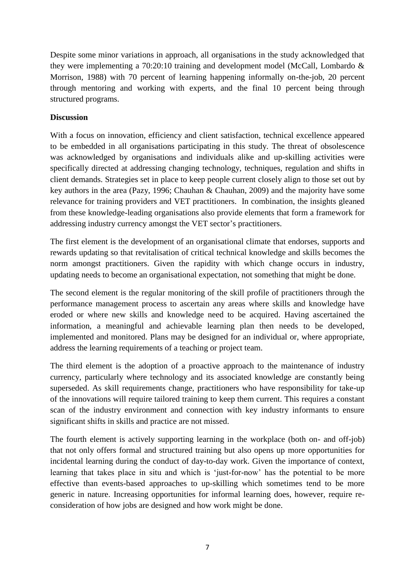Despite some minor variations in approach, all organisations in the study acknowledged that they were implementing a 70:20:10 training and development model (McCall, Lombardo & Morrison, 1988) with 70 percent of learning happening informally on-the-job, 20 percent through mentoring and working with experts, and the final 10 percent being through structured programs.

### **Discussion**

With a focus on innovation, efficiency and client satisfaction, technical excellence appeared to be embedded in all organisations participating in this study. The threat of obsolescence was acknowledged by organisations and individuals alike and up-skilling activities were specifically directed at addressing changing technology, techniques, regulation and shifts in client demands. Strategies set in place to keep people current closely align to those set out by key authors in the area (Pazy, 1996; Chauhan & Chauhan, 2009) and the majority have some relevance for training providers and VET practitioners. In combination, the insights gleaned from these knowledge-leading organisations also provide elements that form a framework for addressing industry currency amongst the VET sector's practitioners.

The first element is the development of an organisational climate that endorses, supports and rewards updating so that revitalisation of critical technical knowledge and skills becomes the norm amongst practitioners. Given the rapidity with which change occurs in industry, updating needs to become an organisational expectation, not something that might be done.

The second element is the regular monitoring of the skill profile of practitioners through the performance management process to ascertain any areas where skills and knowledge have eroded or where new skills and knowledge need to be acquired. Having ascertained the information, a meaningful and achievable learning plan then needs to be developed, implemented and monitored. Plans may be designed for an individual or, where appropriate, address the learning requirements of a teaching or project team.

The third element is the adoption of a proactive approach to the maintenance of industry currency, particularly where technology and its associated knowledge are constantly being superseded. As skill requirements change, practitioners who have responsibility for take-up of the innovations will require tailored training to keep them current. This requires a constant scan of the industry environment and connection with key industry informants to ensure significant shifts in skills and practice are not missed.

The fourth element is actively supporting learning in the workplace (both on- and off-job) that not only offers formal and structured training but also opens up more opportunities for incidental learning during the conduct of day-to-day work. Given the importance of context, learning that takes place in situ and which is 'just-for-now' has the potential to be more effective than events-based approaches to up-skilling which sometimes tend to be more generic in nature. Increasing opportunities for informal learning does, however, require reconsideration of how jobs are designed and how work might be done.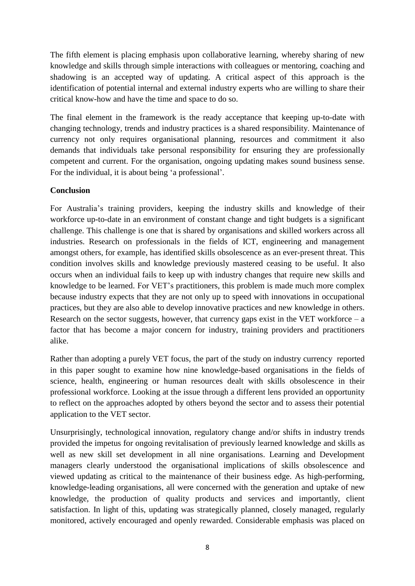The fifth element is placing emphasis upon collaborative learning, whereby sharing of new knowledge and skills through simple interactions with colleagues or mentoring, coaching and shadowing is an accepted way of updating. A critical aspect of this approach is the identification of potential internal and external industry experts who are willing to share their critical know-how and have the time and space to do so.

The final element in the framework is the ready acceptance that keeping up-to-date with changing technology, trends and industry practices is a shared responsibility. Maintenance of currency not only requires organisational planning, resources and commitment it also demands that individuals take personal responsibility for ensuring they are professionally competent and current. For the organisation, ongoing updating makes sound business sense. For the individual, it is about being 'a professional'.

### **Conclusion**

For Australia's training providers, keeping the industry skills and knowledge of their workforce up-to-date in an environment of constant change and tight budgets is a significant challenge. This challenge is one that is shared by organisations and skilled workers across all industries. Research on professionals in the fields of ICT, engineering and management amongst others, for example, has identified skills obsolescence as an ever-present threat. This condition involves skills and knowledge previously mastered ceasing to be useful. It also occurs when an individual fails to keep up with industry changes that require new skills and knowledge to be learned. For VET's practitioners, this problem is made much more complex because industry expects that they are not only up to speed with innovations in occupational practices, but they are also able to develop innovative practices and new knowledge in others. Research on the sector suggests, however, that currency gaps exist in the VET workforce  $-$  a factor that has become a major concern for industry, training providers and practitioners alike.

Rather than adopting a purely VET focus, the part of the study on industry currency reported in this paper sought to examine how nine knowledge-based organisations in the fields of science, health, engineering or human resources dealt with skills obsolescence in their professional workforce. Looking at the issue through a different lens provided an opportunity to reflect on the approaches adopted by others beyond the sector and to assess their potential application to the VET sector.

Unsurprisingly, technological innovation, regulatory change and/or shifts in industry trends provided the impetus for ongoing revitalisation of previously learned knowledge and skills as well as new skill set development in all nine organisations. Learning and Development managers clearly understood the organisational implications of skills obsolescence and viewed updating as critical to the maintenance of their business edge. As high-performing, knowledge-leading organisations, all were concerned with the generation and uptake of new knowledge, the production of quality products and services and importantly, client satisfaction. In light of this, updating was strategically planned, closely managed, regularly monitored, actively encouraged and openly rewarded. Considerable emphasis was placed on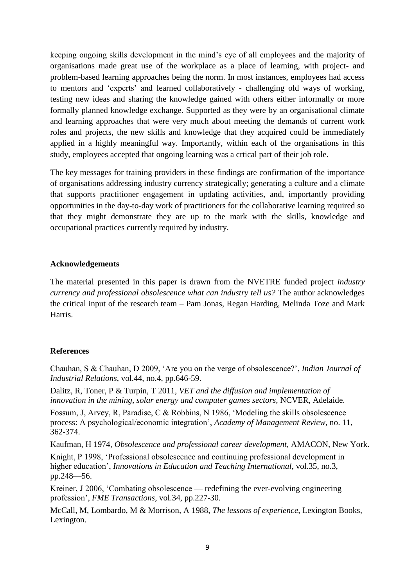keeping ongoing skills development in the mind's eye of all employees and the majority of organisations made great use of the workplace as a place of learning, with project- and problem-based learning approaches being the norm. In most instances, employees had access to mentors and 'experts' and learned collaboratively - challenging old ways of working, testing new ideas and sharing the knowledge gained with others either informally or more formally planned knowledge exchange. Supported as they were by an organisational climate and learning approaches that were very much about meeting the demands of current work roles and projects, the new skills and knowledge that they acquired could be immediately applied in a highly meaningful way. Importantly, within each of the organisations in this study, employees accepted that ongoing learning was a crtical part of their job role.

The key messages for training providers in these findings are confirmation of the importance of organisations addressing industry currency strategically; generating a culture and a climate that supports practitioner engagement in updating activities, and, importantly providing opportunities in the day-to-day work of practitioners for the collaborative learning required so that they might demonstrate they are up to the mark with the skills, knowledge and occupational practices currently required by industry.

#### **Acknowledgements**

The material presented in this paper is drawn from the NVETRE funded project *industry currency and professional obsolescence what can industry tell us?* The author acknowledges the critical input of the research team – Pam Jonas, Regan Harding, Melinda Toze and Mark Harris.

#### **References**

Chauhan, S & Chauhan, D 2009, 'Are you on the verge of obsolescence?', *Indian Journal of Industrial Relations*, vol.44, no.4, pp.646-59.

Dalitz, R, Toner, P & Turpin, T 2011, *VET and the diffusion and implementation of innovation in the mining, solar energy and computer games sectors,* NCVER, Adelaide.

Fossum, J, Arvey, R, Paradise, C & Robbins, N 1986, 'Modeling the skills obsolescence process: A psychological/economic integration', *Academy of Management Review*, no. 11, 362-374.

Kaufman, H 1974, *Obsolescence and professional career development*, AMACON, New York.

Knight, P 1998, 'Professional obsolescence and continuing professional development in higher education', *Innovations in Education and Teaching International*, vol.35, no.3, pp.248—56.

Kreiner, J 2006, 'Combating obsolescence — redefining the ever-evolving engineering profession', *FME Transactions*, vol.34, pp.227-30.

McCall, M, Lombardo, M & Morrison, A 1988, *The lessons of experience*, Lexington Books, Lexington.